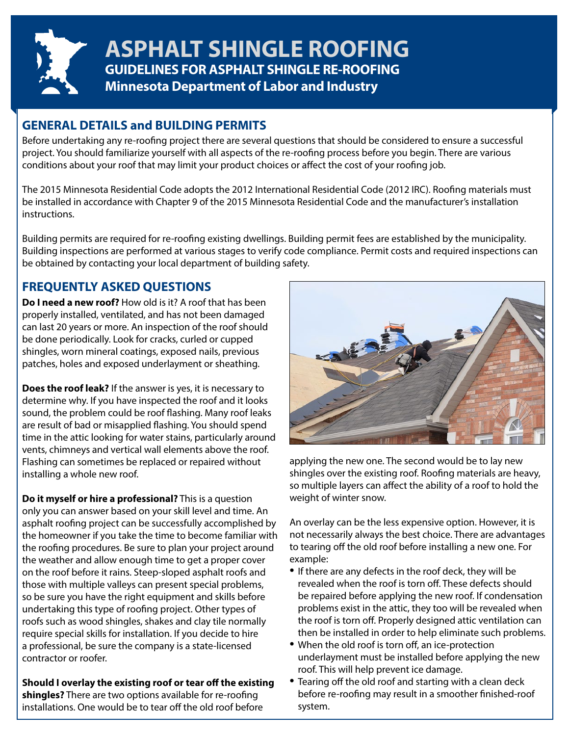

**GUIDELINES FOR ASPHALT SHINGLE RE-ROOFING Minnesota Department of Labor and Industry ASPHALT SHINGLE ROOFING**

# **GENERAL DETAILS and BUILDING PERMITS**

Before undertaking any re-roofing project there are several questions that should be considered to ensure a successful project. You should familiarize yourself with all aspects of the re-roofing process before you begin. There are various conditions about your roof that may limit your product choices or affect the cost of your roofing job.

The 2015 Minnesota Residential Code adopts the 2012 International Residential Code (2012 IRC). Roofing materials must be installed in accordance with Chapter 9 of the 2015 Minnesota Residential Code and the manufacturer's installation instructions.

Building permits are required for re-roofing existing dwellings. Building permit fees are established by the municipality. Building inspections are performed at various stages to verify code compliance. Permit costs and required inspections can be obtained by contacting your local department of building safety.

# **FREQUENTLY ASKED QUESTIONS**

**Do I need a new roof?** How old is it? A roof that has been properly installed, ventilated, and has not been damaged can last 20 years or more. An inspection of the roof should be done periodically. Look for cracks, curled or cupped shingles, worn mineral coatings, exposed nails, previous patches, holes and exposed underlayment or sheathing.

**Does the roof leak?** If the answer is yes, it is necessary to determine why. If you have inspected the roof and it looks sound, the problem could be roof flashing. Many roof leaks are result of bad or misapplied flashing. You should spend time in the attic looking for water stains, particularly around vents, chimneys and vertical wall elements above the roof. Flashing can sometimes be replaced or repaired without installing a whole new roof.

**Do it myself or hire a professional?** This is a question only you can answer based on your skill level and time. An asphalt roofing project can be successfully accomplished by the homeowner if you take the time to become familiar with the roofing procedures. Be sure to plan your project around the weather and allow enough time to get a proper cover on the roof before it rains. Steep-sloped asphalt roofs and those with multiple valleys can present special problems, so be sure you have the right equipment and skills before undertaking this type of roofing project. Other types of roofs such as wood shingles, shakes and clay tile normally require special skills for installation. If you decide to hire a professional, be sure the company is a state-licensed contractor or roofer.

**Should I overlay the existing roof or tear off the existing shingles?** There are two options available for re-roofing installations. One would be to tear off the old roof before



applying the new one. The second would be to lay new shingles over the existing roof. Roofing materials are heavy, so multiple layers can affect the ability of a roof to hold the weight of winter snow.

An overlay can be the less expensive option. However, it is not necessarily always the best choice. There are advantages to tearing off the old roof before installing a new one. For example:

- If there are any defects in the roof deck, they will be revealed when the roof is torn off. These defects should be repaired before applying the new roof. If condensation problems exist in the attic, they too will be revealed when the roof is torn off. Properly designed attic ventilation can then be installed in order to help eliminate such problems.
- When the old roof is torn off, an ice-protection underlayment must be installed before applying the new roof. This will help prevent ice damage.
- Tearing off the old roof and starting with a clean deck before re-roofing may result in a smoother finished-roof system.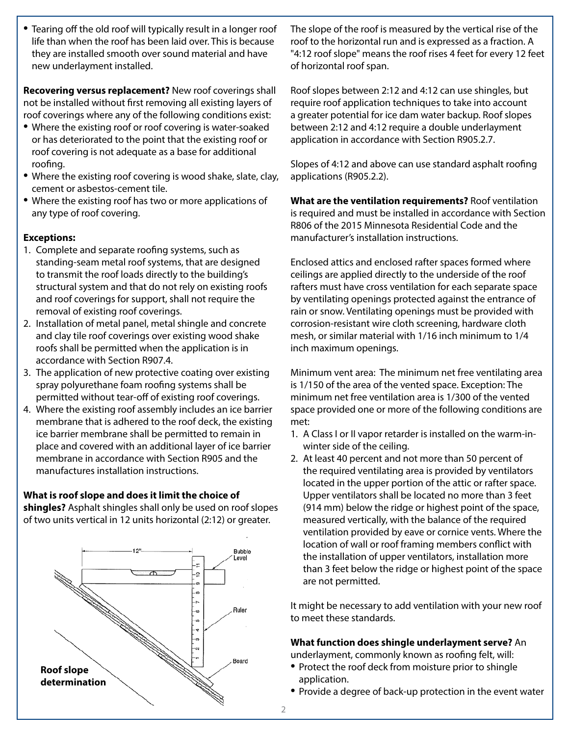• Tearing off the old roof will typically result in a longer roof life than when the roof has been laid over. This is because they are installed smooth over sound material and have new underlayment installed.

**Recovering versus replacement?** New roof coverings shall not be installed without first removing all existing layers of roof coverings where any of the following conditions exist:

- Where the existing roof or roof covering is water-soaked or has deteriorated to the point that the existing roof or roof covering is not adequate as a base for additional roofing.
- Where the existing roof covering is wood shake, slate, clay, cement or asbestos-cement tile.
- Where the existing roof has two or more applications of any type of roof covering.

# **Exceptions:**

- 1. Complete and separate roofing systems, such as standing-seam metal roof systems, that are designed to transmit the roof loads directly to the building's structural system and that do not rely on existing roofs and roof coverings for support, shall not require the removal of existing roof coverings.
- 2. Installation of metal panel, metal shingle and concrete and clay tile roof coverings over existing wood shake roofs shall be permitted when the application is in accordance with Section R907.4.
- 3. The application of new protective coating over existing spray polyurethane foam roofing systems shall be permitted without tear-off of existing roof coverings.
- 4. Where the existing roof assembly includes an ice barrier membrane that is adhered to the roof deck, the existing ice barrier membrane shall be permitted to remain in place and covered with an additional layer of ice barrier membrane in accordance with Section R905 and the manufactures installation instructions.

# **What is roof slope and does it limit the choice of**

**shingles?** Asphalt shingles shall only be used on roof slopes of two units vertical in 12 units horizontal (2:12) or greater.



The slope of the roof is measured by the vertical rise of the roof to the horizontal run and is expressed as a fraction. A "4:12 roof slope" means the roof rises 4 feet for every 12 feet of horizontal roof span.

Roof slopes between 2:12 and 4:12 can use shingles, but require roof application techniques to take into account a greater potential for ice dam water backup. Roof slopes between 2:12 and 4:12 require a double underlayment application in accordance with Section R905.2.7.

Slopes of 4:12 and above can use standard asphalt roofing applications (R905.2.2).

**What are the ventilation requirements?** Roof ventilation is required and must be installed in accordance with Section R806 of the 2015 Minnesota Residential Code and the manufacturer's installation instructions.

Enclosed attics and enclosed rafter spaces formed where ceilings are applied directly to the underside of the roof rafters must have cross ventilation for each separate space by ventilating openings protected against the entrance of rain or snow. Ventilating openings must be provided with corrosion-resistant wire cloth screening, hardware cloth mesh, or similar material with 1/16 inch minimum to 1/4 inch maximum openings.

Minimum vent area: The minimum net free ventilating area is 1/150 of the area of the vented space. Exception: The minimum net free ventilation area is 1/300 of the vented space provided one or more of the following conditions are met:

- 1. A Class I or II vapor retarder is installed on the warm-inwinter side of the ceiling.
- 2. At least 40 percent and not more than 50 percent of the required ventilating area is provided by ventilators located in the upper portion of the attic or rafter space. Upper ventilators shall be located no more than 3 feet (914 mm) below the ridge or highest point of the space, measured vertically, with the balance of the required ventilation provided by eave or cornice vents. Where the location of wall or roof framing members conflict with the installation of upper ventilators, installation more than 3 feet below the ridge or highest point of the space are not permitted.

It might be necessary to add ventilation with your new roof to meet these standards.

# **What function does shingle underlayment serve?** An

underlayment, commonly known as roofing felt, will:

- Protect the roof deck from moisture prior to shingle application.
- Provide a degree of back-up protection in the event water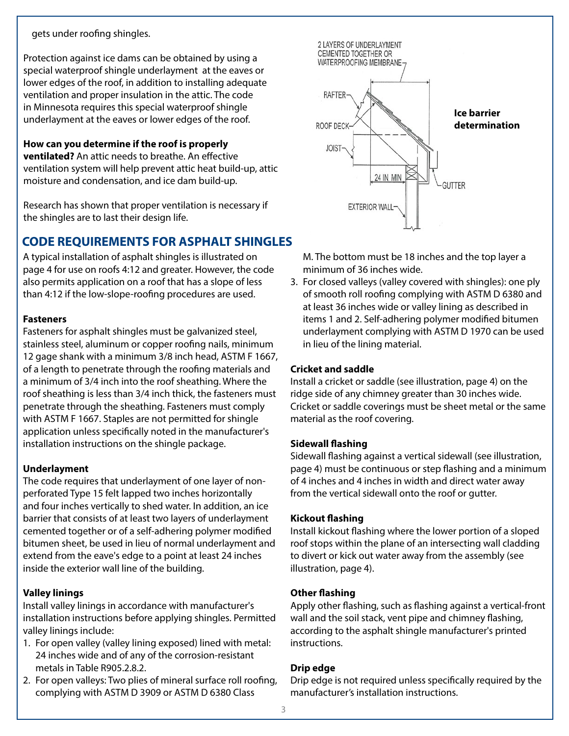# gets under roofing shingles.

Protection against ice dams can be obtained by using a special waterproof shingle underlayment at the eaves or lower edges of the roof, in addition to installing adequate ventilation and proper insulation in the attic. The code in Minnesota requires this special waterproof shingle underlayment at the eaves or lower edges of the roof.

# **How can you determine if the roof is properly**

**ventilated?** An attic needs to breathe. An effective ventilation system will help prevent attic heat build-up, attic moisture and condensation, and ice dam build-up.

Research has shown that proper ventilation is necessary if the shingles are to last their design life.

# **CODE REQUIREMENTS FOR ASPHALT SHINGLES**

A typical installation of asphalt shingles is illustrated on page 4 for use on roofs 4:12 and greater. However, the code also permits application on a roof that has a slope of less than 4:12 if the low-slope-roofing procedures are used.

# **Fasteners**

Fasteners for asphalt shingles must be galvanized steel, stainless steel, aluminum or copper roofing nails, minimum 12 gage shank with a minimum 3/8 inch head, ASTM F 1667, of a length to penetrate through the roofing materials and a minimum of 3/4 inch into the roof sheathing. Where the roof sheathing is less than 3/4 inch thick, the fasteners must penetrate through the sheathing. Fasteners must comply with ASTM F 1667. Staples are not permitted for shingle application unless specifically noted in the manufacturer's installation instructions on the shingle package.

# **Underlayment**

The code requires that underlayment of one layer of nonperforated Type 15 felt lapped two inches horizontally and four inches vertically to shed water. In addition, an ice barrier that consists of at least two layers of underlayment cemented together or of a self-adhering polymer modified bitumen sheet, be used in lieu of normal underlayment and extend from the eave's edge to a point at least 24 inches inside the exterior wall line of the building.

# **Valley linings**

Install valley linings in accordance with manufacturer's installation instructions before applying shingles. Permitted valley linings include:

- 1. For open valley (valley lining exposed) lined with metal: 24 inches wide and of any of the corrosion-resistant metals in Table R905.2.8.2.
- 2. For open valleys: Two plies of mineral surface roll roofing, complying with ASTM D 3909 or ASTM D 6380 Class



M. The bottom must be 18 inches and the top layer a minimum of 36 inches wide.

3. For closed valleys (valley covered with shingles): one ply of smooth roll roofing complying with ASTM D 6380 and at least 36 inches wide or valley lining as described in items 1 and 2. Self-adhering polymer modified bitumen underlayment complying with ASTM D 1970 can be used in lieu of the lining material.

# **Cricket and saddle**

Install a cricket or saddle (see illustration, page 4) on the ridge side of any chimney greater than 30 inches wide. Cricket or saddle coverings must be sheet metal or the same material as the roof covering.

# **Sidewall flashing**

Sidewall flashing against a vertical sidewall (see illustration, page 4) must be continuous or step flashing and a minimum of 4 inches and 4 inches in width and direct water away from the vertical sidewall onto the roof or gutter.

# **Kickout flashing**

Install kickout flashing where the lower portion of a sloped roof stops within the plane of an intersecting wall cladding to divert or kick out water away from the assembly (see illustration, page 4).

# **Other flashing**

Apply other flashing, such as flashing against a vertical-front wall and the soil stack, vent pipe and chimney flashing, according to the asphalt shingle manufacturer's printed instructions.

# **Drip edge**

Drip edge is not required unless specifically required by the manufacturer's installation instructions.